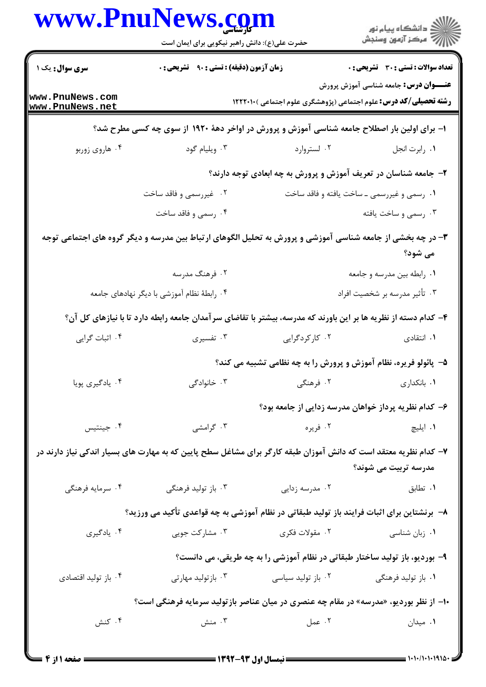|                                    | www.PnuNews.con<br>حضرت علی(ع): دانش راهبر نیکویی برای ایمان است                                                 |                                                                             | ڪ دانشڪاه پيام نور<br>ر∕⊂ مرڪز آزمون وسنڊش   |
|------------------------------------|------------------------------------------------------------------------------------------------------------------|-----------------------------------------------------------------------------|----------------------------------------------|
| سری سوال: یک ۱                     | زمان آزمون (دقیقه) : تستی : ۹۰٪ تشریحی : ۰                                                                       |                                                                             | تعداد سوالات : تستى : 30 قشريحى : 0          |
| www.PnuNews.com<br>www.PnuNews.net |                                                                                                                  | <b>رشته تحصیلی/کد درس:</b> علوم اجتماعی (پژوهشگری علوم اجتماعی ) ۱۲۲۲۰۱۰    | <b>عنـــوان درس:</b> جامعه شناسی آموزش پرورش |
|                                    | ۱– برای اولین بار اصطلاح جامعه شناسی آموزش و پرورش در اواخر دههٔ ۱۹۲۰ از سوی چه کسی مطرح شد؟                     |                                                                             |                                              |
| ۰۴ هاروي زوربو                     | ۰۳ ویلیام گود                                                                                                    | ۰۲ لستروارد                                                                 | ٠١ رابرت انجل                                |
|                                    |                                                                                                                  | ۲- جامعه شناسان در تعریف آموزش و پرورش به چه ابعادی توجه دارند؟             |                                              |
|                                    | ۰۲ غیررسمی و فاقد ساخت                                                                                           |                                                                             | ۰۱ رسمی و غیررسمی ـ ساخت یافته و فاقد ساخت   |
|                                    | ۰۴ رسمی و فاقد ساخت                                                                                              |                                                                             | ۰۳ رسمي و ساخت يافته                         |
|                                    | ۳- در چه بخشی از جامعه شناسی آموزشی و پرورش به تحلیل الگوهای ارتباط بین مدرسه و دیگر گروه های اجتماعی توجه       |                                                                             | می شود؟                                      |
|                                    | ۰۲ فرهنگ مدرسه                                                                                                   |                                                                             | ۰۱ رابطه بین مدرسه و جامعه                   |
|                                    | ۰۴ رابطهٔ نظام آموزشی با دیگر نهادهای جامعه                                                                      |                                                                             | ۰۳ تأثير مدرسه بر شخصيت افراد                |
|                                    | ۴– کدام دسته از نظریه ها بر این باورند که مدرسه، بیشتر با تقاضای سرآمدان جامعه رابطه دارد تا با نیازهای کل آن؟   |                                                                             |                                              |
| ۰۴ اثبات گرایی                     | ۰۳ تفسیری                                                                                                        | ۰۲ کارکردگرایی                                                              | ۰۱ انتقادی                                   |
|                                    |                                                                                                                  | ۵- پائولو فریره، نظام آموزش و پرورش را به چه نظامی تشبیه می کند؟            |                                              |
| ۰۴ يادگيري پويا                    | ۰۳ خانوادگی                                                                                                      | ۰۲ فرهنگی                                                                   | ٠١. بانكدارى                                 |
|                                    |                                                                                                                  | ۶– کدام نظریه پرداز خواهان مدرسه زدایی از جامعه بود؟                        |                                              |
| ۰۴ جينتيس                          | ۰۳ گرامشی                                                                                                        | ۰۲ فريره                                                                    | ٠١ ايليچ                                     |
|                                    | ۷– کدام نظریه معتقد است که دانش آموزان طبقه کارگر برای مشاغل سطح پایین که به مهارت های بسیار اندکی نیاز دارند در |                                                                             | مدرسه تربیت می شوند؟                         |
| ۰۴ سرمايه فرهنگي                   | ۰۳ باز تولید فرهنگی                                                                                              | ۰۲ مدرسه زدایی                                                              | ۰۱ تطابق                                     |
|                                    | ٨−  برنشتاین برای اثبات فرایند باز تولید طبقاتی در نظام آموزشی به چه قواعدی تأکید می ورزید؟                      |                                                                             |                                              |
| ۰۴ يادگيري                         | ۰۳ مشارکت جویی                                                                                                   | ۰۲ مقولات فکری                                                              | ۰۱ زبان شناسی                                |
|                                    |                                                                                                                  | ۹- بوردیو، باز تولید ساختار طبقاتی در نظام آموزشی را به چه طریقی، می دانست؟ |                                              |
| ۰۴ باز تولید اقتصادی               | ۰۳ بازتولید مهارتی                                                                                               | ۰۲ باز تولید سیاسی                                                          | ۰۱ باز تولید فرهنگی                          |
|                                    | +۱- از نظر بوردیو، «مدرسه» در مقام چه عنصری در میان عناصر بازتولید سرمایه فرهنگی است؟                            |                                                                             |                                              |
| ۰۴ کنش                             | ۰۳ منش                                                                                                           | ۰۲ عمل                                                                      | ۰۱ میدان                                     |
|                                    |                                                                                                                  |                                                                             |                                              |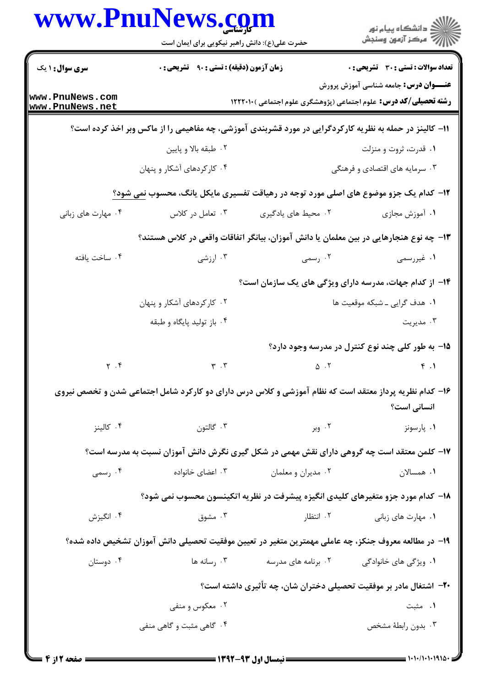|                                    | www.PnuNews.com<br>حضرت علی(ع): دانش راهبر نیکویی برای ایمان است                                        |                     | ڪ دانشڪاه پيام نور<br>//> مرڪز آزمون وسنجش                                                                              |
|------------------------------------|---------------------------------------------------------------------------------------------------------|---------------------|-------------------------------------------------------------------------------------------------------------------------|
| <b>سری سوال : ۱ یک</b>             | زمان آزمون (دقیقه) : تستی : ۹۰٪ تشریحی : ۰                                                              |                     | <b>تعداد سوالات : تستي : 30 ٪ تشريحي : 0</b>                                                                            |
| www.PnuNews.com<br>www.PnuNews.net |                                                                                                         |                     | <b>عنـــوان درس:</b> جامعه شناسی آموزش پرورش<br><b>رشته تحصیلی/کد درس:</b> علوم اجتماعی (پژوهشگری علوم اجتماعی )1۲۲۲۰۱۰ |
|                                    | 11- کالینز در حمله به نظریه کارکردگرایی در مورد قشربندی آموزشی، چه مفاهیمی را از ماکس وبر اخذ کرده است؟ |                     |                                                                                                                         |
|                                    | ۰۲ طبقه بالا و پايين                                                                                    |                     | ۰۱ قدرت، ثروت و منزلت                                                                                                   |
|                                    | ۰۴ کارکردهای آشکار و پنهان                                                                              |                     | ۰۳ سرمایه های اقتصادی و فرهنگی                                                                                          |
|                                    | ۱۲- کدام یک جزو موضوع های اصلی مورد توجه در رهیاقت تفسیری مایکل یانگ، محسوب نمی شود؟                    |                     |                                                                                                                         |
| ۰۴ مهارت های زبانی                 | ۰۳ تعامل در کلاس                                                                                        | ٢. محيط هاي يادگيري | ٠١. آموزش مجازي                                                                                                         |
|                                    | ۱۳– چه نوع هنجارهایی در بین معلمان یا دانش آموزان، بیانگر اتفاقات واقعی در کلاس هستند؟                  |                     |                                                                                                                         |
| ۰۴ ساخت یافته                      | ۰۳ ارزشی                                                                                                | ۰۲ رسمی             | ۰۱ غیررسمی                                                                                                              |
|                                    |                                                                                                         |                     | ۱۴– از کدام جهات، مدرسه دارای ویژگی های یک سازمان است؟                                                                  |
|                                    | ۰۲ کارکردهای آشکار و پنهان                                                                              |                     | ۰۱ هدف گرایی ـ شبکه موقعیت ها                                                                                           |
|                                    | ۰۴ باز تولید پایگاه و طبقه                                                                              |                     | ۰۳ مدیریت                                                                                                               |
|                                    |                                                                                                         |                     | ۱۵– به طور کلی چند نوع کنترل در مدرسه وجود دارد؟                                                                        |
| $\gamma$ . $\uparrow$              | $\mathbf{r}$ . $\mathbf{r}$                                                                             | $\Delta$ .          | f.1                                                                                                                     |
|                                    | ۱۶– کدام نظریه پرداز معتقد است که نظام آموزشی و کلاس درس دارای دو کارکرد شامل اجتماعی شدن و تخصص نیروی  |                     | انسانی است؟                                                                                                             |
| ۰۴ کالینز                          | ۰۳ گالتون                                                                                               | ۲. وبر              | ۰۱ پارسونز                                                                                                              |
|                                    | ۱۷– کلمن معتقد است چه گروهی دارای نقش مهمی در شکل گیری نگرش دانش آموزان نسبت به مدرسه است؟              |                     |                                                                                                                         |
| ۰۴ رسمی                            | ۰۳ اعضای خانواده                                                                                        | ۰۲ مديران و معلمان  | ٠١. همسالان                                                                                                             |
|                                    |                                                                                                         |                     | ۱۸– کدام مورد جزو متغیرهای کلیدی انگیزه پیشرفت در نظریه اتکینسون محسوب نمی شود؟                                         |
| ۰۴ انگیزش                          | ۰۳ مشوق                                                                                                 | ۰۲ انتظار           | ۰۱ مهارت های زبانی                                                                                                      |
|                                    | ۱۹– در مطالعه معروف جنکز، چه عاملی مهمترین متغیر در تعیین موفقیت تحصیلی دانش آموزان تشخیص داده شده؟     |                     |                                                                                                                         |
| ۰۴ دوستان                          | ۰۳ رسانه ها                                                                                             | ۰۲ برنامه های مدرسه | ۰۱ ویژگی های خانوادگی                                                                                                   |
|                                    |                                                                                                         |                     | +۲- اشتغال مادر بر موفقیت تحصیلی دختران شان، چه تأثیری داشته است؟                                                       |
|                                    | ۰۲ معکوس و منفی                                                                                         |                     | ۰۱ مثبت                                                                                                                 |
|                                    | ۰۴ گاهی مثبت و گاهی منفی                                                                                |                     | ۰۳ بدون رابطهٔ مشخص                                                                                                     |
|                                    |                                                                                                         |                     |                                                                                                                         |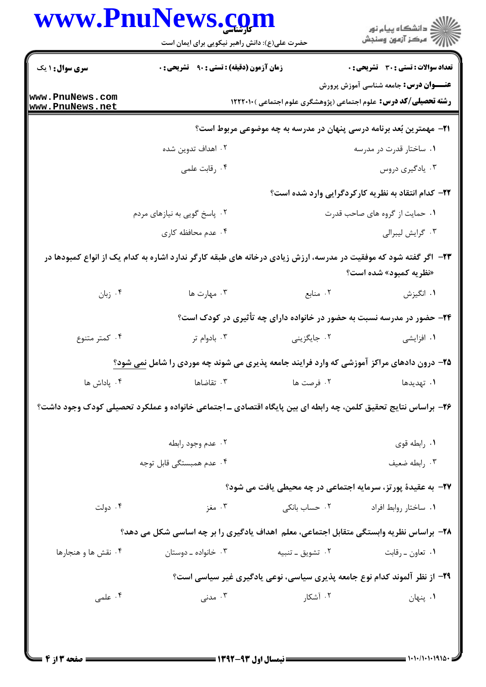|                                    | www.PnuNews.com<br>حضرت علی(ع): دانش راهبر نیکویی برای ایمان است |                   |                                                                                                                                            |
|------------------------------------|------------------------------------------------------------------|-------------------|--------------------------------------------------------------------------------------------------------------------------------------------|
| <b>سری سوال : ۱ یک</b>             | زمان آزمون (دقیقه) : تستی : ۹۰٪ تشریحی : ۰                       |                   | <b>تعداد سوالات : تستي : 30 ٪ تشريحي : 0</b>                                                                                               |
| www.PnuNews.com<br>www.PnuNews.net |                                                                  |                   | <b>عنـــوان درس:</b> جامعه شناسی آموزش پرورش<br><b>رشته تحصیلی/کد درس:</b> علوم اجتماعی (پژوهشگری علوم اجتماعی )۱۲۲۲۰۱۰                    |
|                                    |                                                                  |                   | ۲۱– مهمترین بُعد برنامه درسی پنهان در مدرسه به چه موضوعی مربوط است؟                                                                        |
|                                    | ۰۲ اهداف تدوین شده                                               |                   | ۰۱ ساختار قدرت در مدرسه                                                                                                                    |
|                                    | ۰۴ رقابت علمي                                                    |                   | ۰۳ يادگيري دروس                                                                                                                            |
|                                    |                                                                  |                   | ۲۲- کدام انتقاد به نظریه کارکردگرایی وارد شده است؟                                                                                         |
|                                    | ۰۲ پاسخ گویی به نیازهای مردم                                     |                   | ۰۱ حمایت از گروه های صاحب قدرت                                                                                                             |
|                                    | ۰۴ عدم محافظه کاری                                               |                   | ۰۳ گرايش ليبرالي                                                                                                                           |
|                                    |                                                                  |                   | ۲۳– اگر گفته شود که موفقیت در مدرسه، ارزش زیادی درخانه های طبقه کارگر ندارد اشاره به کدام یک از انواع کمبودها در<br>«نظریه کمبود» شده است؟ |
| ۰۴ زبان                            | ۰۳ مهارت ها                                                      | ۰۲ منابع          | ۰۱ انگیزش                                                                                                                                  |
|                                    |                                                                  |                   | ۲۴- حضور در مدرسه نسبت به حضور در خانواده دارای چه تأثیری در کودک است؟                                                                     |
| ۰۴ کمتر متنوع                      | ۰۳ بادوام تر                                                     | ۰۲ جایگزینی       | ۰۱ افزایشی                                                                                                                                 |
|                                    |                                                                  |                   | ۲۵- درون دادهای مراکز آموزشی که وارد فرایند جامعه پذیری می شوند چه موردی را شامل نمی شود؟                                                  |
| ۰۴ پاداش ها                        | ۰۳ تقاضاها                                                       | ۰۲ فرصت ها        | <b>۱.</b> تهدیدها                                                                                                                          |
|                                    |                                                                  |                   | ۲۶- براساس نتایج تحقیق کلمن، چه رابطه ای بین پایگاه اقتصادی ـ اجتماعی خانواده و عملکرد تحصیلی کودک وجود داشت؟                              |
|                                    | ۰۲ عدم وجود رابطه                                                |                   | ٠١. رابطه قوى                                                                                                                              |
|                                    | ۰۴ عدم همبستگی قابل توجه                                         |                   | ۰۳ رابطه ضعيف                                                                                                                              |
|                                    |                                                                  |                   | <b>۲۷</b> - به عقیدهٔ پورتز، سرمایه اجتماعی در چه محیطی یافت می شود؟                                                                       |
| ۰۴ دولت                            | ۰۳ مغز                                                           | ۰۲ حساب بانکی     | ۰۱ ساختار روابط افراد                                                                                                                      |
|                                    |                                                                  |                   | ۲۸- براساس نظریه وابستگی متقابل اجتماعی، معلم اهداف یادگیری را بر چه اساسی شکل می دهد؟                                                     |
| ۰۴ نقش ها و هنجارها                | ۰۳ خانواده ـ دوستان                                              | ۰۲ تشويق ــ تنبيه | ۰۱ تعاون ـ رقابت                                                                                                                           |
|                                    |                                                                  |                   | ۲۹- از نظر آلموند کدام نوع جامعه پذیری سیاسی، نوعی یادگیری غیر سیاسی است؟                                                                  |
| ۰۴ علمی                            | ۰۳ مدنی $\cdot$                                                  | ۰۲ آشکار          | ۰۱ پنهان                                                                                                                                   |
|                                    |                                                                  |                   |                                                                                                                                            |